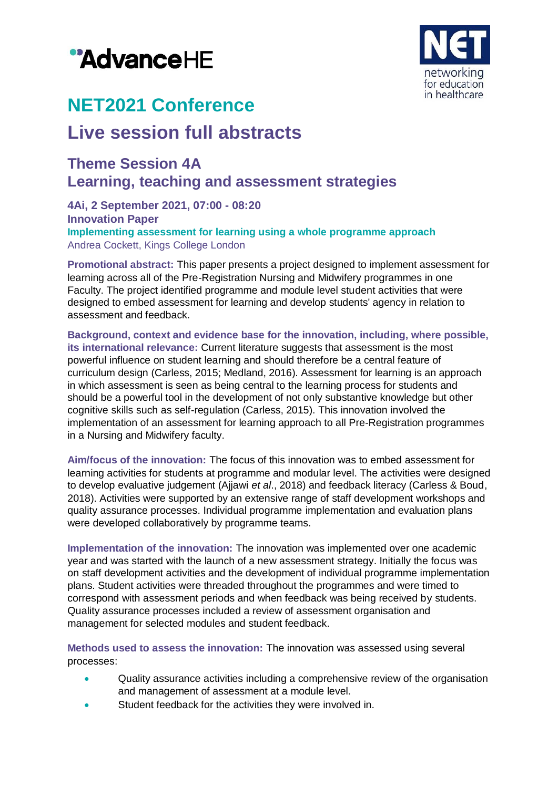



# **NET2021 Conference**

## **Live session full abstracts**

### **Theme Session 4A Learning, teaching and assessment strategies**

**4Ai, 2 September 2021, 07:00 - 08:20 Innovation Paper Implementing assessment for learning using a whole programme approach** Andrea Cockett, Kings College London

**Promotional abstract:** This paper presents a project designed to implement assessment for learning across all of the Pre-Registration Nursing and Midwifery programmes in one Faculty. The project identified programme and module level student activities that were designed to embed assessment for learning and develop students' agency in relation to assessment and feedback.

**Background, context and evidence base for the innovation, including, where possible, its international relevance:** Current literature suggests that assessment is the most powerful influence on student learning and should therefore be a central feature of curriculum design (Carless, 2015; Medland, 2016). Assessment for learning is an approach in which assessment is seen as being central to the learning process for students and should be a powerful tool in the development of not only substantive knowledge but other cognitive skills such as self-regulation (Carless, 2015). This innovation involved the implementation of an assessment for learning approach to all Pre-Registration programmes in a Nursing and Midwifery faculty.

**Aim/focus of the innovation:** The focus of this innovation was to embed assessment for learning activities for students at programme and modular level. The activities were designed to develop evaluative judgement (Ajjawi *et al*., 2018) and feedback literacy (Carless & Boud, 2018). Activities were supported by an extensive range of staff development workshops and quality assurance processes. Individual programme implementation and evaluation plans were developed collaboratively by programme teams.

**Implementation of the innovation:** The innovation was implemented over one academic year and was started with the launch of a new assessment strategy. Initially the focus was on staff development activities and the development of individual programme implementation plans. Student activities were threaded throughout the programmes and were timed to correspond with assessment periods and when feedback was being received by students. Quality assurance processes included a review of assessment organisation and management for selected modules and student feedback.

**Methods used to assess the innovation:** The innovation was assessed using several processes:

- Quality assurance activities including a comprehensive review of the organisation and management of assessment at a module level.
- Student feedback for the activities they were involved in.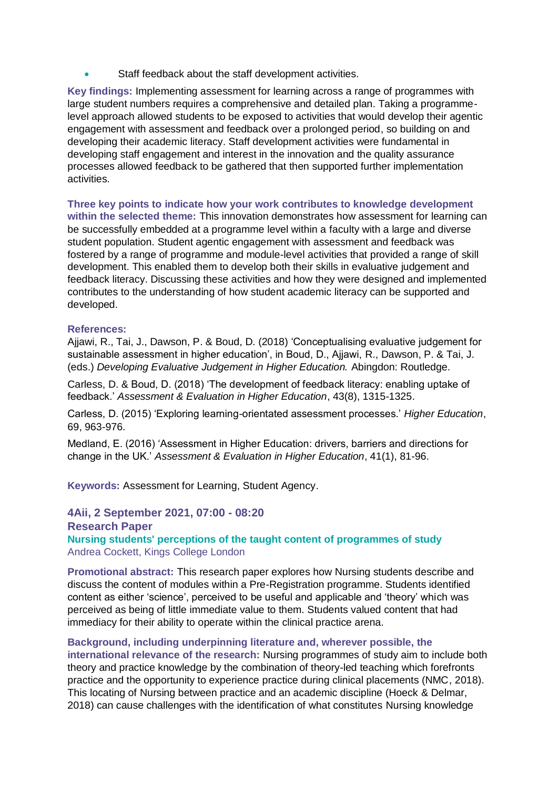Staff feedback about the staff development activities.

**Key findings:** Implementing assessment for learning across a range of programmes with large student numbers requires a comprehensive and detailed plan. Taking a programmelevel approach allowed students to be exposed to activities that would develop their agentic engagement with assessment and feedback over a prolonged period, so building on and developing their academic literacy. Staff development activities were fundamental in developing staff engagement and interest in the innovation and the quality assurance processes allowed feedback to be gathered that then supported further implementation activities.

**Three key points to indicate how your work contributes to knowledge development within the selected theme:** This innovation demonstrates how assessment for learning can be successfully embedded at a programme level within a faculty with a large and diverse student population. Student agentic engagement with assessment and feedback was fostered by a range of programme and module-level activities that provided a range of skill development. This enabled them to develop both their skills in evaluative judgement and feedback literacy. Discussing these activities and how they were designed and implemented contributes to the understanding of how student academic literacy can be supported and developed.

#### **References:**

Ajjawi, R., Tai, J., Dawson, P. & Boud, D. (2018) 'Conceptualising evaluative judgement for sustainable assessment in higher education', in Boud, D., Ajjawi, R., Dawson, P. & Tai, J. (eds.) *Developing Evaluative Judgement in Higher Education.* Abingdon: Routledge.

Carless, D. & Boud, D. (2018) 'The development of feedback literacy: enabling uptake of feedback.' *Assessment & Evaluation in Higher Education*, 43(8), 1315-1325.

Carless, D. (2015) 'Exploring learning-orientated assessment processes.' *Higher Education*, 69, 963-976.

Medland, E. (2016) 'Assessment in Higher Education: drivers, barriers and directions for change in the UK.' *Assessment & Evaluation in Higher Education*, 41(1), 81-96.

**Keywords:** Assessment for Learning, Student Agency.

**4Aii, 2 September 2021, 07:00 - 08:20 Research Paper Nursing students' perceptions of the taught content of programmes of study** Andrea Cockett, Kings College London

**Promotional abstract:** This research paper explores how Nursing students describe and discuss the content of modules within a Pre-Registration programme. Students identified content as either 'science', perceived to be useful and applicable and 'theory' which was perceived as being of little immediate value to them. Students valued content that had immediacy for their ability to operate within the clinical practice arena.

**Background, including underpinning literature and, wherever possible, the international relevance of the research:** Nursing programmes of study aim to include both theory and practice knowledge by the combination of theory-led teaching which forefronts practice and the opportunity to experience practice during clinical placements (NMC, 2018). This locating of Nursing between practice and an academic discipline (Hoeck & Delmar, 2018) can cause challenges with the identification of what constitutes Nursing knowledge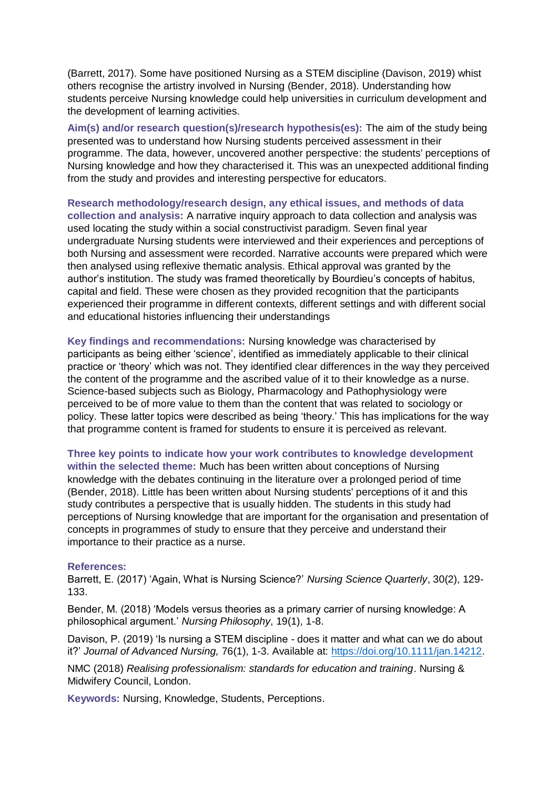(Barrett, 2017). Some have positioned Nursing as a STEM discipline (Davison, 2019) whist others recognise the artistry involved in Nursing (Bender, 2018). Understanding how students perceive Nursing knowledge could help universities in curriculum development and the development of learning activities.

**Aim(s) and/or research question(s)/research hypothesis(es):** The aim of the study being presented was to understand how Nursing students perceived assessment in their programme. The data, however, uncovered another perspective: the students' perceptions of Nursing knowledge and how they characterised it. This was an unexpected additional finding from the study and provides and interesting perspective for educators.

**Research methodology/research design, any ethical issues, and methods of data collection and analysis:** A narrative inquiry approach to data collection and analysis was used locating the study within a social constructivist paradigm. Seven final year undergraduate Nursing students were interviewed and their experiences and perceptions of both Nursing and assessment were recorded. Narrative accounts were prepared which were then analysed using reflexive thematic analysis. Ethical approval was granted by the author's institution. The study was framed theoretically by Bourdieu's concepts of habitus, capital and field. These were chosen as they provided recognition that the participants experienced their programme in different contexts, different settings and with different social and educational histories influencing their understandings

**Key findings and recommendations:** Nursing knowledge was characterised by participants as being either 'science', identified as immediately applicable to their clinical practice or 'theory' which was not. They identified clear differences in the way they perceived the content of the programme and the ascribed value of it to their knowledge as a nurse. Science-based subjects such as Biology, Pharmacology and Pathophysiology were perceived to be of more value to them than the content that was related to sociology or policy. These latter topics were described as being 'theory.' This has implications for the way that programme content is framed for students to ensure it is perceived as relevant.

**Three key points to indicate how your work contributes to knowledge development within the selected theme:** Much has been written about conceptions of Nursing knowledge with the debates continuing in the literature over a prolonged period of time (Bender, 2018). Little has been written about Nursing students' perceptions of it and this study contributes a perspective that is usually hidden. The students in this study had perceptions of Nursing knowledge that are important for the organisation and presentation of concepts in programmes of study to ensure that they perceive and understand their importance to their practice as a nurse.

#### **References:**

Barrett, E. (2017) 'Again, What is Nursing Science?' *Nursing Science Quarterly*, 30(2), 129- 133.

Bender, M. (2018) 'Models versus theories as a primary carrier of nursing knowledge: A philosophical argument.' *Nursing Philosophy*, 19(1), 1-8.

Davison, P. (2019) 'Is nursing a STEM discipline - does it matter and what can we do about it?' *Journal of Advanced Nursing,* 76(1), 1-3. Available at: [https://doi.org/10.1111/jan.14212.](https://doi.org/10.1111/jan.14212)

NMC (2018) *Realising professionalism: standards for education and training*. Nursing & Midwifery Council, London.

**Keywords:** Nursing, Knowledge, Students, Perceptions.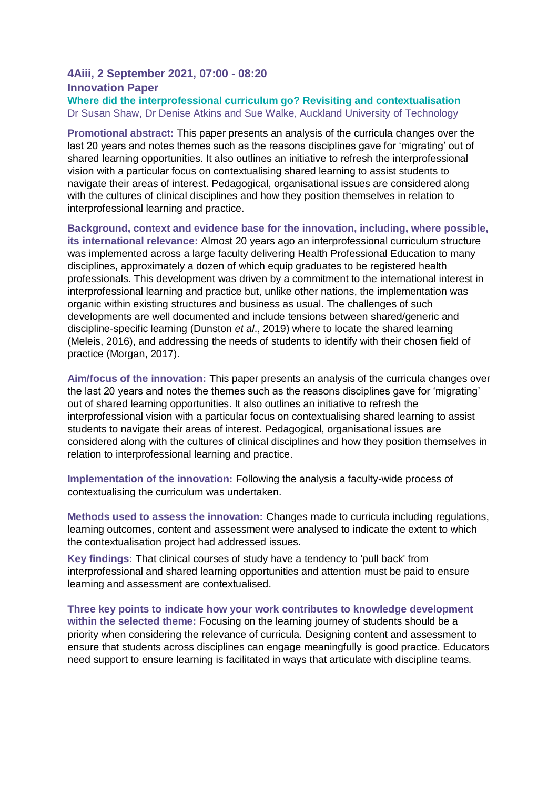#### **4Aiii, 2 September 2021, 07:00 - 08:20 Innovation Paper**

**Where did the interprofessional curriculum go? Revisiting and contextualisation** Dr Susan Shaw, Dr Denise Atkins and Sue Walke, Auckland University of Technology

**Promotional abstract:** This paper presents an analysis of the curricula changes over the last 20 years and notes themes such as the reasons disciplines gave for 'migrating' out of shared learning opportunities. It also outlines an initiative to refresh the interprofessional vision with a particular focus on contextualising shared learning to assist students to navigate their areas of interest. Pedagogical, organisational issues are considered along with the cultures of clinical disciplines and how they position themselves in relation to interprofessional learning and practice.

**Background, context and evidence base for the innovation, including, where possible, its international relevance:** Almost 20 years ago an interprofessional curriculum structure was implemented across a large faculty delivering Health Professional Education to many disciplines, approximately a dozen of which equip graduates to be registered health professionals. This development was driven by a commitment to the international interest in interprofessional learning and practice but, unlike other nations, the implementation was organic within existing structures and business as usual. The challenges of such developments are well documented and include tensions between shared/generic and discipline-specific learning (Dunston *et al*., 2019) where to locate the shared learning (Meleis, 2016), and addressing the needs of students to identify with their chosen field of practice (Morgan, 2017).

**Aim/focus of the innovation:** This paper presents an analysis of the curricula changes over the last 20 years and notes the themes such as the reasons disciplines gave for 'migrating' out of shared learning opportunities. It also outlines an initiative to refresh the interprofessional vision with a particular focus on contextualising shared learning to assist students to navigate their areas of interest. Pedagogical, organisational issues are considered along with the cultures of clinical disciplines and how they position themselves in relation to interprofessional learning and practice.

**Implementation of the innovation:** Following the analysis a faculty-wide process of contextualising the curriculum was undertaken.

**Methods used to assess the innovation:** Changes made to curricula including regulations, learning outcomes, content and assessment were analysed to indicate the extent to which the contextualisation project had addressed issues.

**Key findings:** That clinical courses of study have a tendency to 'pull back' from interprofessional and shared learning opportunities and attention must be paid to ensure learning and assessment are contextualised.

**Three key points to indicate how your work contributes to knowledge development within the selected theme:** Focusing on the learning journey of students should be a priority when considering the relevance of curricula. Designing content and assessment to ensure that students across disciplines can engage meaningfully is good practice. Educators need support to ensure learning is facilitated in ways that articulate with discipline teams.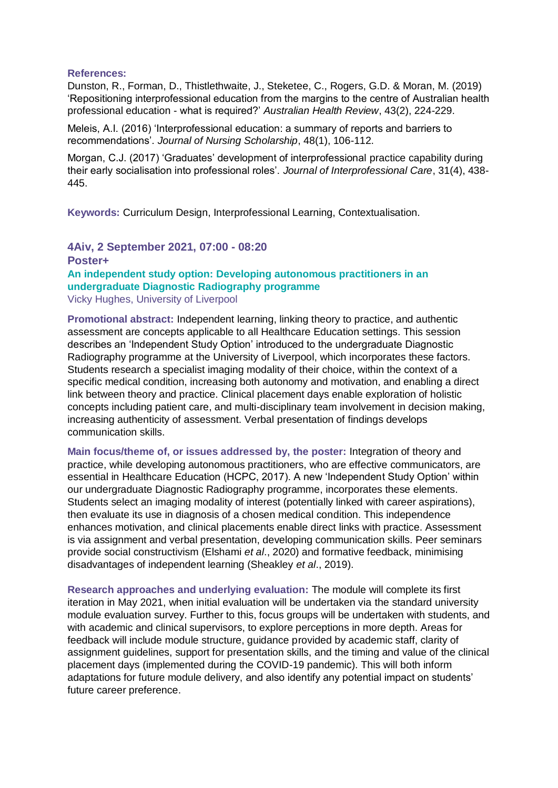#### **References:**

Dunston, R., Forman, D., Thistlethwaite, J., Steketee, C., Rogers, G.D. & Moran, M. (2019) 'Repositioning interprofessional education from the margins to the centre of Australian health professional education - what is required?' *Australian Health Review*, 43(2), 224-229.

Meleis, A.I. (2016) 'Interprofessional education: a summary of reports and barriers to recommendations'. *Journal of Nursing Scholarship*, 48(1), 106-112.

Morgan, C.J. (2017) 'Graduates' development of interprofessional practice capability during their early socialisation into professional roles'. *Journal of Interprofessional Care*, 31(4), 438- 445.

**Keywords:** Curriculum Design, Interprofessional Learning, Contextualisation.

**4Aiv, 2 September 2021, 07:00 - 08:20 Poster+ An independent study option: Developing autonomous practitioners in an undergraduate Diagnostic Radiography programme** Vicky Hughes, University of Liverpool

**Promotional abstract:** Independent learning, linking theory to practice, and authentic assessment are concepts applicable to all Healthcare Education settings. This session describes an 'Independent Study Option' introduced to the undergraduate Diagnostic Radiography programme at the University of Liverpool, which incorporates these factors. Students research a specialist imaging modality of their choice, within the context of a specific medical condition, increasing both autonomy and motivation, and enabling a direct link between theory and practice. Clinical placement days enable exploration of holistic concepts including patient care, and multi-disciplinary team involvement in decision making, increasing authenticity of assessment. Verbal presentation of findings develops communication skills.

**Main focus/theme of, or issues addressed by, the poster:** Integration of theory and practice, while developing autonomous practitioners, who are effective communicators, are essential in Healthcare Education (HCPC, 2017). A new 'Independent Study Option' within our undergraduate Diagnostic Radiography programme, incorporates these elements. Students select an imaging modality of interest (potentially linked with career aspirations), then evaluate its use in diagnosis of a chosen medical condition. This independence enhances motivation, and clinical placements enable direct links with practice. Assessment is via assignment and verbal presentation, developing communication skills. Peer seminars provide social constructivism (Elshami *et al*., 2020) and formative feedback, minimising disadvantages of independent learning (Sheakley *et al*., 2019).

**Research approaches and underlying evaluation:** The module will complete its first iteration in May 2021, when initial evaluation will be undertaken via the standard university module evaluation survey. Further to this, focus groups will be undertaken with students, and with academic and clinical supervisors, to explore perceptions in more depth. Areas for feedback will include module structure, guidance provided by academic staff, clarity of assignment guidelines, support for presentation skills, and the timing and value of the clinical placement days (implemented during the COVID-19 pandemic). This will both inform adaptations for future module delivery, and also identify any potential impact on students' future career preference.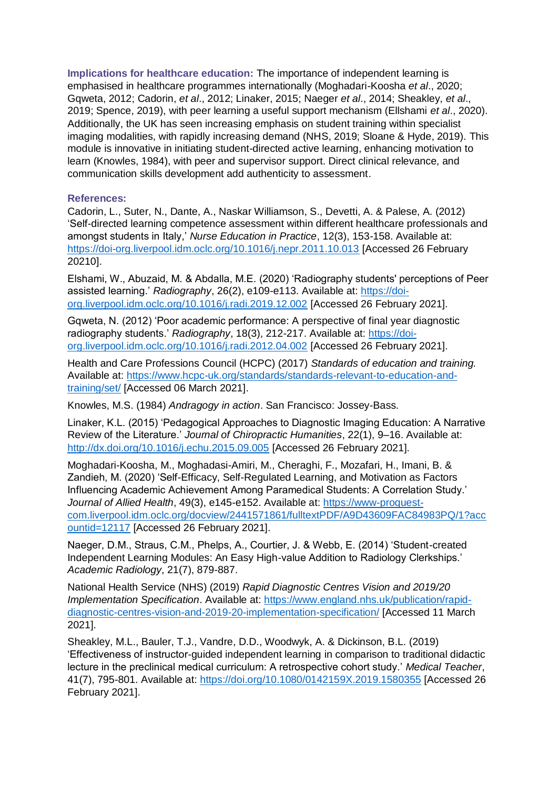**Implications for healthcare education:** The importance of independent learning is emphasised in healthcare programmes internationally (Moghadari-Koosha *et al*., 2020; Gqweta, 2012; Cadorin, *et al*., 2012; Linaker, 2015; Naeger *et al*., 2014; Sheakley, *et al*., 2019; Spence, 2019), with peer learning a useful support mechanism (Ellshami *et al*., 2020). Additionally, the UK has seen increasing emphasis on student training within specialist imaging modalities, with rapidly increasing demand (NHS, 2019; Sloane & Hyde, 2019). This module is innovative in initiating student-directed active learning, enhancing motivation to learn (Knowles, 1984), with peer and supervisor support. Direct clinical relevance, and communication skills development add authenticity to assessment.

#### **References:**

Cadorin, L., Suter, N., Dante, A., Naskar Williamson, S., Devetti, A. & Palese, A. (2012) 'Self-directed learning competence assessment within different healthcare professionals and amongst students in Italy,' *Nurse Education in Practice*, 12(3), 153-158. Available at: <https://doi-org.liverpool.idm.oclc.org/10.1016/j.nepr.2011.10.013> [Accessed 26 February 20210].

Elshami, W., Abuzaid, M. & Abdalla, M.E. (2020) 'Radiography students' perceptions of Peer assisted learning.' *Radiography*, 26(2), e109-e113. Available at: [https://doi](https://doi-org.liverpool.idm.oclc.org/10.1016/j.radi.2019.12.002)[org.liverpool.idm.oclc.org/10.1016/j.radi.2019.12.002](https://doi-org.liverpool.idm.oclc.org/10.1016/j.radi.2019.12.002) [Accessed 26 February 2021].

Gqweta, N. (2012) 'Poor academic performance: A perspective of final year diagnostic radiography students.' *Radiography*, 18(3), 212-217. Available at: [https://doi](https://doi-org.liverpool.idm.oclc.org/10.1016/j.radi.2012.04.002)[org.liverpool.idm.oclc.org/10.1016/j.radi.2012.04.002](https://doi-org.liverpool.idm.oclc.org/10.1016/j.radi.2012.04.002) [Accessed 26 February 2021].

Health and Care Professions Council (HCPC) (2017) *Standards of education and training.* Available at: [https://www.hcpc-uk.org/standards/standards-relevant-to-education-and](https://www.hcpc-uk.org/standards/standards-relevant-to-education-and-training/set/)[training/set/](https://www.hcpc-uk.org/standards/standards-relevant-to-education-and-training/set/) [Accessed 06 March 2021].

Knowles, M.S. (1984) *Andragogy in action*. San Francisco: Jossey-Bass.

Linaker, K.L. (2015) 'Pedagogical Approaches to Diagnostic Imaging Education: A Narrative Review of the Literature.' *Journal of Chiropractic Humanities*, 22(1), 9–16. Available at: <http://dx.doi.org/10.1016/j.echu.2015.09.005> [Accessed 26 February 2021].

Moghadari-Koosha, M., Moghadasi-Amiri, M., Cheraghi, F., Mozafari, H., Imani, B. & Zandieh, M. (2020) 'Self-Efficacy, Self-Regulated Learning, and Motivation as Factors Influencing Academic Achievement Among Paramedical Students: A Correlation Study.' *Journal of Allied Health*, 49(3), e145-e152. Available at[: https://www-proquest](https://www-proquest-com.liverpool.idm.oclc.org/docview/2441571861/fulltextPDF/A9D43609FAC84983PQ/1?accountid=12117)[com.liverpool.idm.oclc.org/docview/2441571861/fulltextPDF/A9D43609FAC84983PQ/1?acc](https://www-proquest-com.liverpool.idm.oclc.org/docview/2441571861/fulltextPDF/A9D43609FAC84983PQ/1?accountid=12117) [ountid=12117](https://www-proquest-com.liverpool.idm.oclc.org/docview/2441571861/fulltextPDF/A9D43609FAC84983PQ/1?accountid=12117) [Accessed 26 February 2021].

Naeger, D.M., Straus, C.M., Phelps, A., Courtier, J. & Webb, E. (2014) 'Student-created Independent Learning Modules: An Easy High-value Addition to Radiology Clerkships.' *Academic Radiology*, 21(7), 879-887.

National Health Service (NHS) (2019) *Rapid Diagnostic Centres Vision and 2019/20 Implementation Specification*. Available at: [https://www.england.nhs.uk/publication/rapid](https://www.england.nhs.uk/publication/rapid-diagnostic-centres-vision-and-2019-20-implementation-specification/)[diagnostic-centres-vision-and-2019-20-implementation-specification/](https://www.england.nhs.uk/publication/rapid-diagnostic-centres-vision-and-2019-20-implementation-specification/) [Accessed 11 March 2021].

Sheakley, M.L., Bauler, T.J., Vandre, D.D., Woodwyk, A. & Dickinson, B.L. (2019) 'Effectiveness of instructor-guided independent learning in comparison to traditional didactic lecture in the preclinical medical curriculum: A retrospective cohort study.' *Medical Teacher*, 41(7), 795-801. Available at:<https://doi.org/10.1080/0142159X.2019.1580355> [Accessed 26 February 2021].